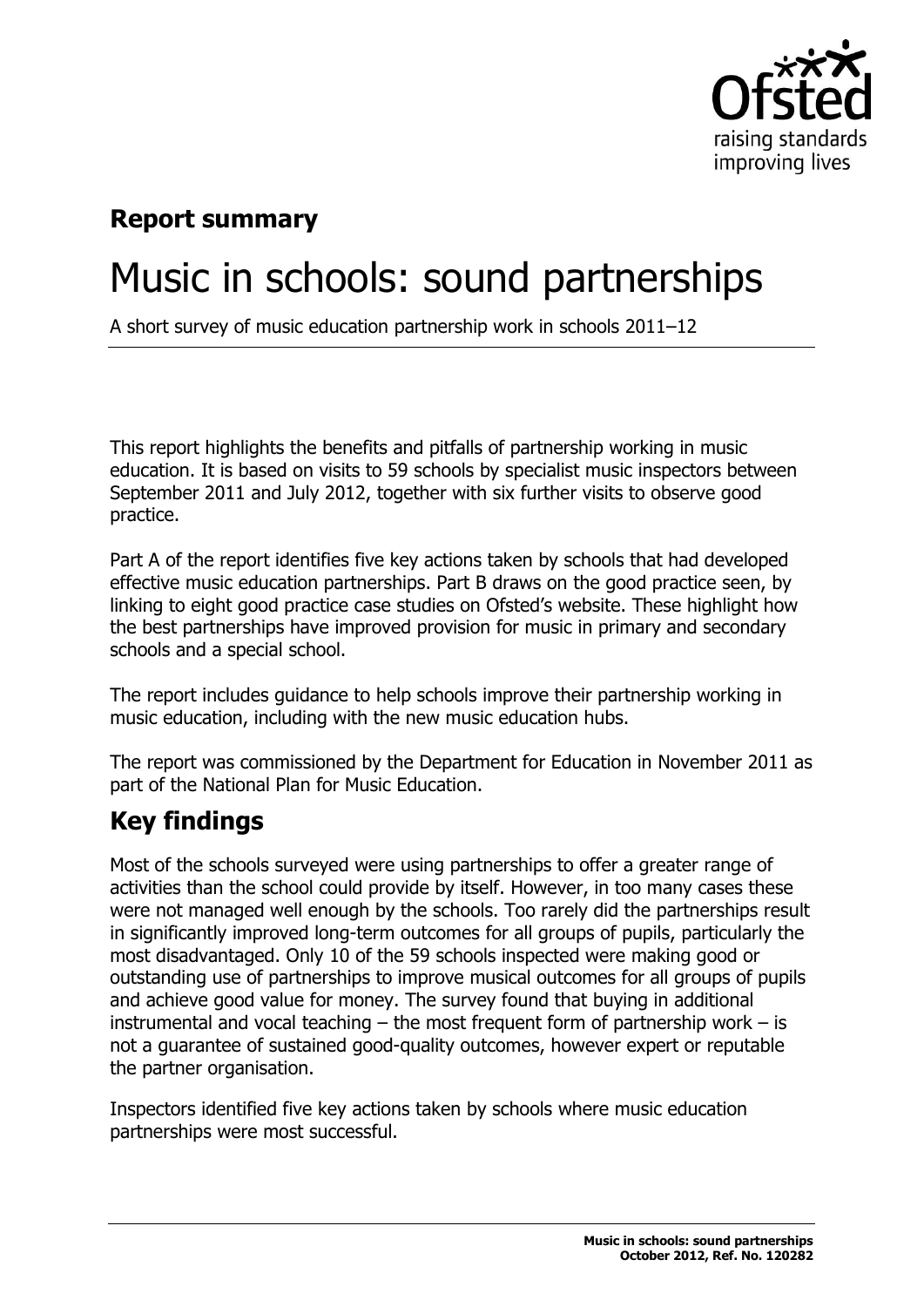

## **Report summary**

## Music in schools: sound partnerships

A short survey of music education partnership work in schools 2011–12

This report highlights the benefits and pitfalls of partnership working in music education. It is based on visits to 59 schools by specialist music inspectors between September 2011 and July 2012, together with six further visits to observe good practice.

Part A of the report identifies five key actions taken by schools that had developed effective music education partnerships. Part B draws on the good practice seen, by linking to eight good practice case studies on Ofsted's website. These highlight how the best partnerships have improved provision for music in primary and secondary schools and a special school.

The report includes guidance to help schools improve their partnership working in music education, including with the new music education hubs.

The report was commissioned by the Department for Education in November 2011 as part of the National Plan for Music Education.

## **Key findings**

Most of the schools surveyed were using partnerships to offer a greater range of activities than the school could provide by itself. However, in too many cases these were not managed well enough by the schools. Too rarely did the partnerships result in significantly improved long-term outcomes for all groups of pupils, particularly the most disadvantaged. Only 10 of the 59 schools inspected were making good or outstanding use of partnerships to improve musical outcomes for all groups of pupils and achieve good value for money. The survey found that buying in additional instrumental and vocal teaching  $-$  the most frequent form of partnership work  $-$  is not a guarantee of sustained good-quality outcomes, however expert or reputable the partner organisation.

Inspectors identified five key actions taken by schools where music education partnerships were most successful.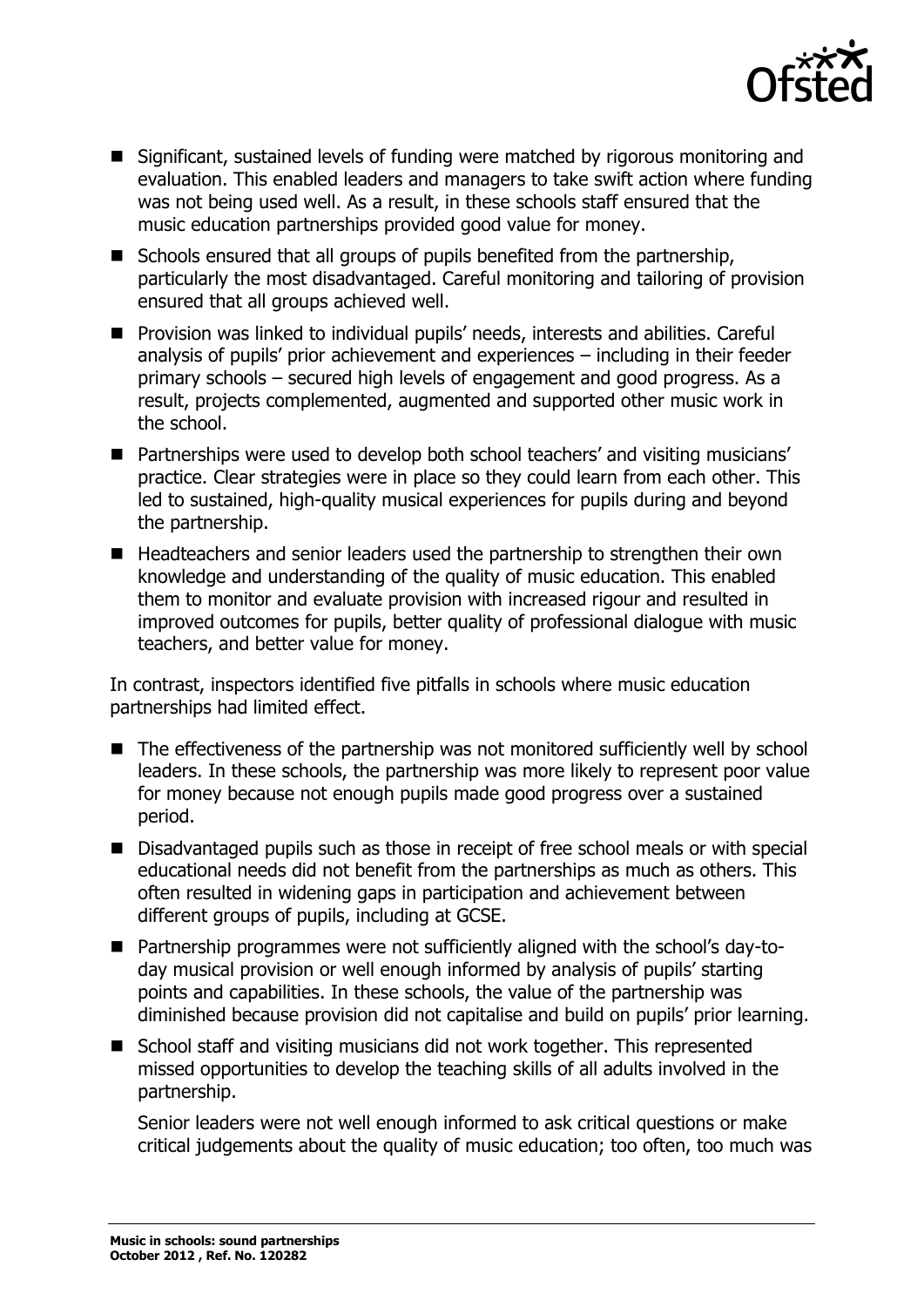

- Significant, sustained levels of funding were matched by rigorous monitoring and evaluation. This enabled leaders and managers to take swift action where funding was not being used well. As a result, in these schools staff ensured that the music education partnerships provided good value for money.
- Schools ensured that all groups of pupils benefited from the partnership, particularly the most disadvantaged. Careful monitoring and tailoring of provision ensured that all groups achieved well.
- **Provision was linked to individual pupils' needs, interests and abilities. Careful** analysis of pupils' prior achievement and experiences – including in their feeder primary schools – secured high levels of engagement and good progress. As a result, projects complemented, augmented and supported other music work in the school.
- Partnerships were used to develop both school teachers' and visiting musicians' practice. Clear strategies were in place so they could learn from each other. This led to sustained, high-quality musical experiences for pupils during and beyond the partnership.
- Headteachers and senior leaders used the partnership to strengthen their own knowledge and understanding of the quality of music education. This enabled them to monitor and evaluate provision with increased rigour and resulted in improved outcomes for pupils, better quality of professional dialogue with music teachers, and better value for money.

In contrast, inspectors identified five pitfalls in schools where music education partnerships had limited effect.

- The effectiveness of the partnership was not monitored sufficiently well by school leaders. In these schools, the partnership was more likely to represent poor value for money because not enough pupils made good progress over a sustained period.
- Disadvantaged pupils such as those in receipt of free school meals or with special educational needs did not benefit from the partnerships as much as others. This often resulted in widening gaps in participation and achievement between different groups of pupils, including at GCSE.
- Partnership programmes were not sufficiently aligned with the school's day-today musical provision or well enough informed by analysis of pupils' starting points and capabilities. In these schools, the value of the partnership was diminished because provision did not capitalise and build on pupils' prior learning.
- School staff and visiting musicians did not work together. This represented missed opportunities to develop the teaching skills of all adults involved in the partnership.

Senior leaders were not well enough informed to ask critical questions or make critical judgements about the quality of music education; too often, too much was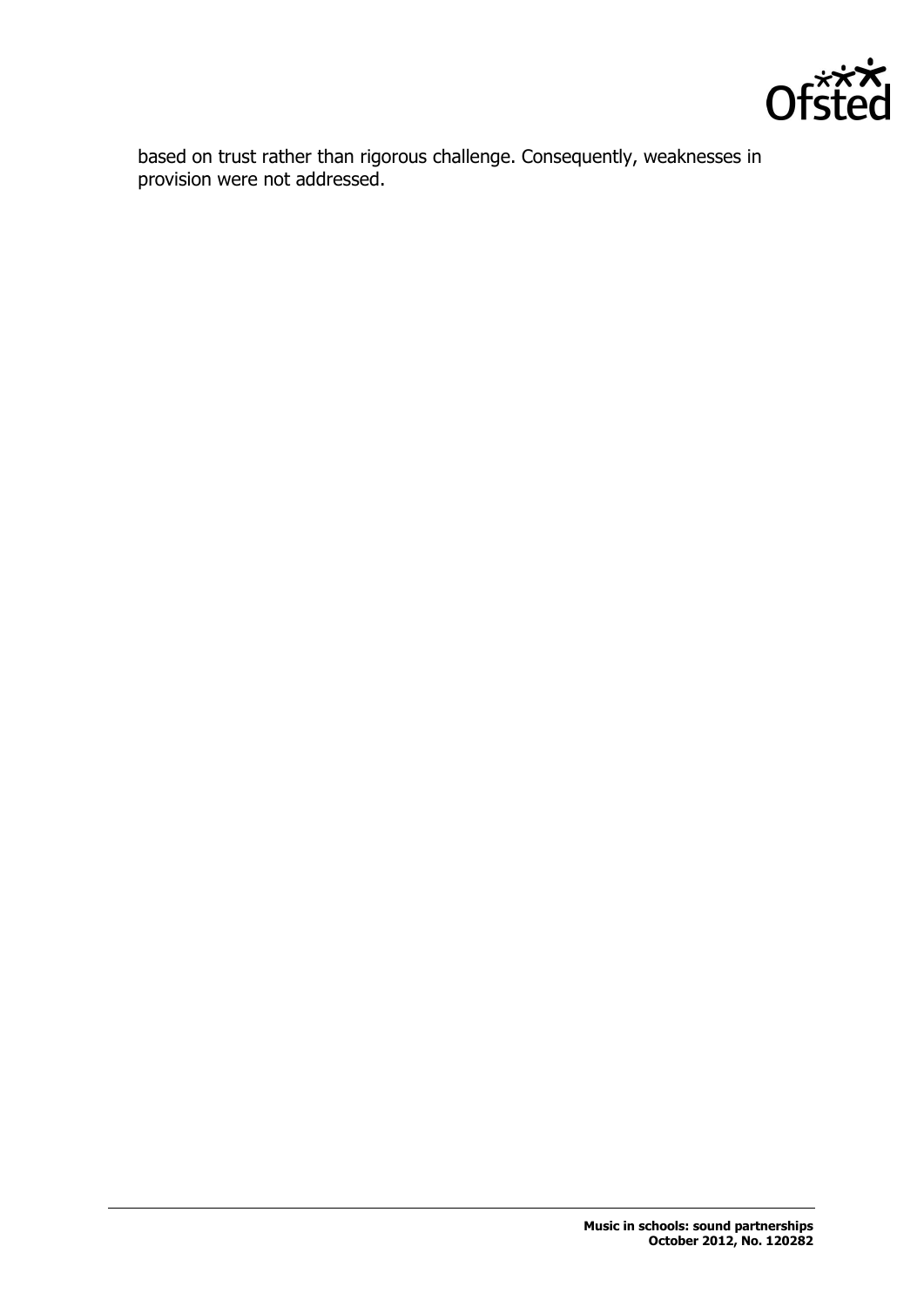

based on trust rather than rigorous challenge. Consequently, weaknesses in provision were not addressed.